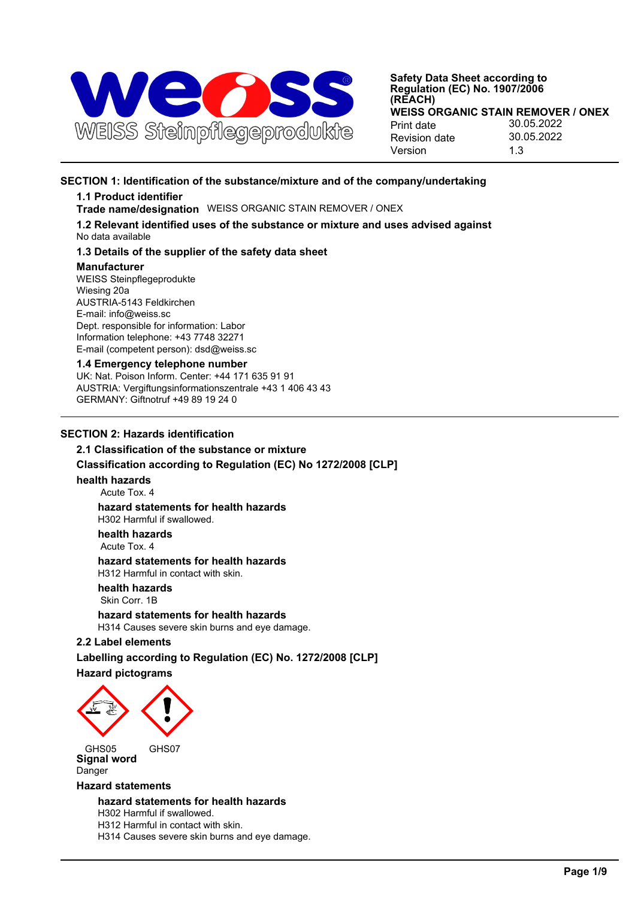

# **SECTION 1: Identification of the substance/mixture and of the company/undertaking**

### **1.1 Product identifier**

**Trade name/designation** WEISS ORGANIC STAIN REMOVER / ONEX

**1.2 Relevant identified uses of the substance or mixture and uses advised against** No data available

## **1.3 Details of the supplier of the safety data sheet**

### **Manufacturer**

WEISS Steinpflegeprodukte Wiesing 20a AUSTRIA-5143 Feldkirchen E-mail: info@weiss.sc Dept. responsible for information: Labor Information telephone: +43 7748 32271 E-mail (competent person): dsd@weiss.sc

## **1.4 Emergency telephone number**

UK: Nat. Poison Inform. Center: +44 171 635 91 91 AUSTRIA: Vergiftungsinformationszentrale +43 1 406 43 43 GERMANY: Giftnotruf +49 89 19 24 0

# **SECTION 2: Hazards identification**

# **2.1 Classification of the substance or mixture**

**Classification according to Regulation (EC) No 1272/2008 [CLP]**

## **health hazards**

Acute Tox. 4

## **hazard statements for health hazards**

H302 Harmful if swallowed.

#### **health hazards** Acute Tox. 4

# **hazard statements for health hazards**

H312 Harmful in contact with skin. **health hazards**

Skin Corr. 1B

**hazard statements for health hazards** H314 Causes severe skin burns and eye damage.

## **2.2 Label elements**

**Labelling according to Regulation (EC) No. 1272/2008 [CLP]**

# **Hazard pictograms**



GHS05 GHS07 **Signal word** Danger

## **Hazard statements**

**hazard statements for health hazards** H302 Harmful if swallowed. H312 Harmful in contact with skin. H314 Causes severe skin burns and eye damage.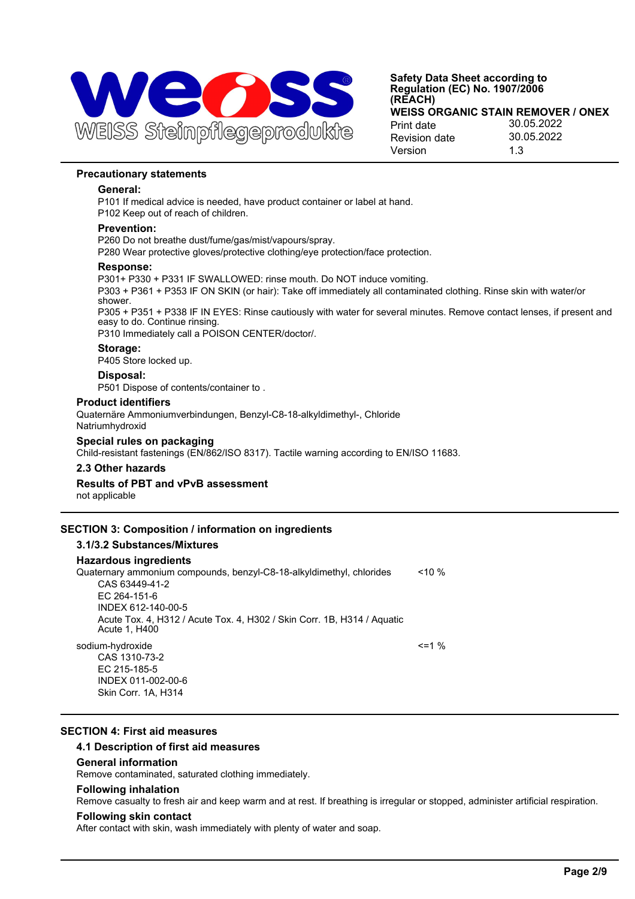

## **Precautionary statements**

### **General:**

P101 If medical advice is needed, have product container or label at hand. P102 Keep out of reach of children.

### **Prevention:**

P260 Do not breathe dust/fume/gas/mist/vapours/spray.

P280 Wear protective gloves/protective clothing/eye protection/face protection.

### **Response:**

P301+ P330 + P331 IF SWALLOWED: rinse mouth. Do NOT induce vomiting. P303 + P361 + P353 IF ON SKIN (or hair): Take off immediately all contaminated clothing. Rinse skin with water/or shower. P305 + P351 + P338 IF IN EYES: Rinse cautiously with water for several minutes. Remove contact lenses, if present and easy to do. Continue rinsing.

P310 Immediately call a POISON CENTER/doctor/.

### **Storage:**

P405 Store locked up.

# **Disposal:**

P501 Dispose of contents/container to .

## **Product identifiers**

Quaternäre Ammoniumverbindungen, Benzyl-C8-18-alkyldimethyl-, Chloride Natriumhydroxid

## **Special rules on packaging**

Child-resistant fastenings (EN/862/ISO 8317). Tactile warning according to EN/ISO 11683.

## **2.3 Other hazards**

## **Results of PBT and vPvB assessment**

not applicable

## **SECTION 3: Composition / information on ingredients**

# **3.1/3.2 Substances/Mixtures**

### **Hazardous ingredients**

| Quaternary ammonium compounds, benzyl-C8-18-alkyldimethyl, chlorides                     | $< 10\%$     |
|------------------------------------------------------------------------------------------|--------------|
| CAS 63449-41-2                                                                           |              |
| FC 264-151-6                                                                             |              |
| INDEX 612-140-00-5                                                                       |              |
| Acute Tox. 4, H312 / Acute Tox. 4, H302 / Skin Corr. 1B, H314 / Aguatic<br>Acute 1, H400 |              |
| sodium-hydroxide                                                                         | $\leq$ = 1 % |
| CAS 1310-73-2                                                                            |              |
| EC 215-185-5                                                                             |              |
| INDEX 011-002-00-6                                                                       |              |
| Skin Corr. 1A, H314                                                                      |              |
|                                                                                          |              |

# **SECTION 4: First aid measures**

# **4.1 Description of first aid measures**

### **General information**

Remove contaminated, saturated clothing immediately.

### **Following inhalation**

Remove casualty to fresh air and keep warm and at rest. If breathing is irregular or stopped, administer artificial respiration.

### **Following skin contact**

After contact with skin, wash immediately with plenty of water and soap.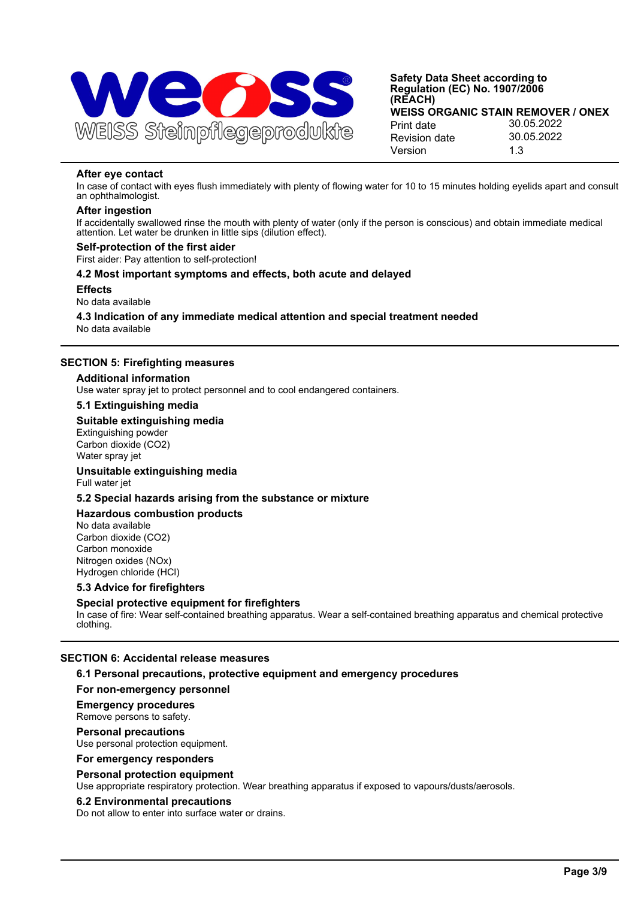

## **After eye contact**

In case of contact with eyes flush immediately with plenty of flowing water for 10 to 15 minutes holding eyelids apart and consult an ophthalmologist.

## **After ingestion**

If accidentally swallowed rinse the mouth with plenty of water (only if the person is conscious) and obtain immediate medical attention. Let water be drunken in little sips (dilution effect).

### **Self-protection of the first aider**

First aider: Pay attention to self-protection!

### **4.2 Most important symptoms and effects, both acute and delayed**

### **Effects**

No data available

**4.3 Indication of any immediate medical attention and special treatment needed** No data available

## **SECTION 5: Firefighting measures**

# **Additional information**

Use water spray jet to protect personnel and to cool endangered containers.

# **5.1 Extinguishing media**

### **Suitable extinguishing media**

Extinguishing powder Carbon dioxide (CO2) Water spray jet

# **Unsuitable extinguishing media**

Full water jet

# **5.2 Special hazards arising from the substance or mixture**

## **Hazardous combustion products**

No data available Carbon dioxide (CO2) Carbon monoxide Nitrogen oxides (NOx) Hydrogen chloride (HCl)

# **5.3 Advice for firefighters**

## **Special protective equipment for firefighters**

In case of fire: Wear self-contained breathing apparatus. Wear a self-contained breathing apparatus and chemical protective clothing.

## **SECTION 6: Accidental release measures**

### **6.1 Personal precautions, protective equipment and emergency procedures**

### **For non-emergency personnel**

### **Emergency procedures**

Remove persons to safety.

### **Personal precautions**

Use personal protection equipment.

### **For emergency responders**

### **Personal protection equipment**

Use appropriate respiratory protection. Wear breathing apparatus if exposed to vapours/dusts/aerosols.

### **6.2 Environmental precautions**

Do not allow to enter into surface water or drains.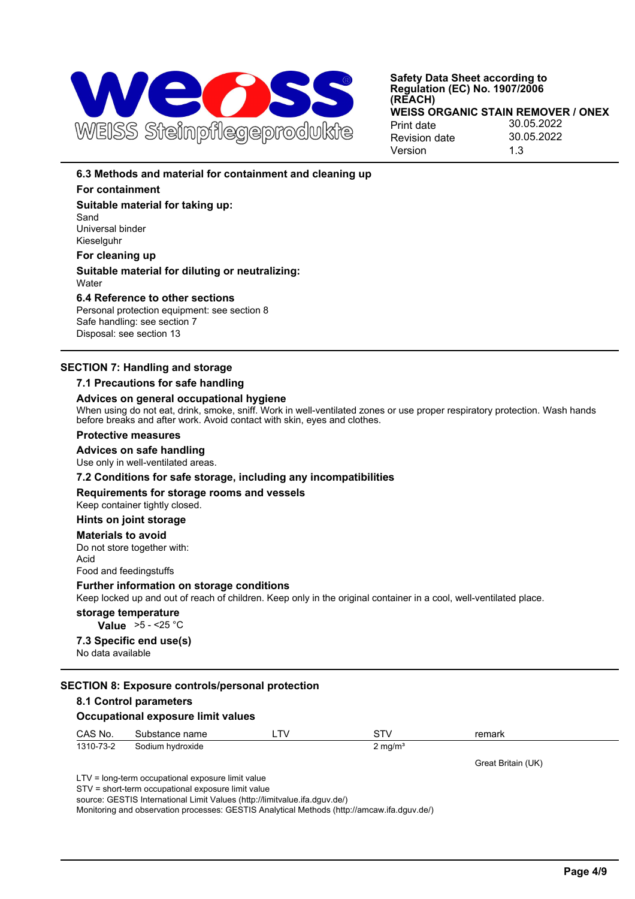

# **6.3 Methods and material for containment and cleaning up**

## **For containment**

**Suitable material for taking up:**

Sand Universal binder

Kieselguhr

**For cleaning up**

## **Suitable material for diluting or neutralizing: Water**

## **6.4 Reference to other sections**

Personal protection equipment: see section 8 Safe handling: see section 7 Disposal: see section 13

# **SECTION 7: Handling and storage**

## **7.1 Precautions for safe handling**

### **Advices on general occupational hygiene**

When using do not eat, drink, smoke, sniff. Work in well-ventilated zones or use proper respiratory protection. Wash hands before breaks and after work. Avoid contact with skin, eyes and clothes.

### **Protective measures**

## **Advices on safe handling**

Use only in well-ventilated areas.

### **7.2 Conditions for safe storage, including any incompatibilities**

## **Requirements for storage rooms and vessels**

Keep container tightly closed.

## **Hints on joint storage**

### **Materials to avoid**

Do not store together with: Acid Food and feedingstuffs

## **Further information on storage conditions**

Keep locked up and out of reach of children. Keep only in the original container in a cool, well-ventilated place.

## **storage temperature**

**Value** >5 - <25 °C

# **7.3 Specific end use(s)**

No data available

## **SECTION 8: Exposure controls/personal protection**

# **8.1 Control parameters Occupational exposure limit values** CAS No. Substance name LTV STV STV remark 1310-73-2 Sodium hydroxide 2 mg/m<sup>3</sup>

Great Britain (UK)

LTV = long-term occupational exposure limit value

STV = short-term occupational exposure limit value

source: GESTIS International Limit Values (http://limitvalue.ifa.dguv.de/)

Monitoring and observation processes: GESTIS Analytical Methods (http://amcaw.ifa.dguv.de/)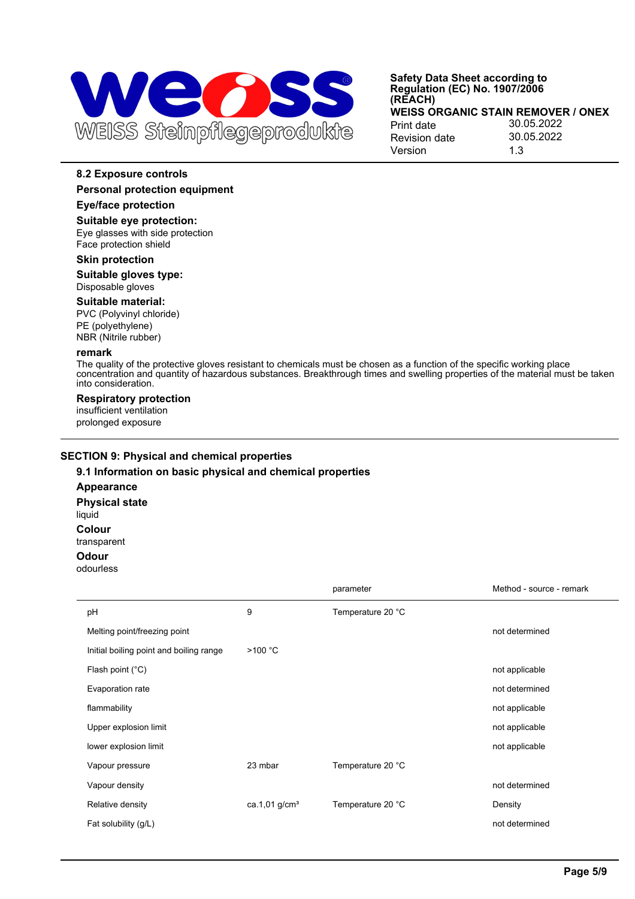

**Safety Data Sheet according to Regulation (EC) No. 1907/2006 (REACH)** 30.05.2022 30.05.2022 **WEISS ORGANIC STAIN REMOVER / ONEX** Print date Revision date Version 1.3

## **8.2 Exposure controls**

### **Personal protection equipment**

# **Eye/face protection**

**Suitable eye protection:**

Eye glasses with side protection Face protection shield

# **Skin protection**

**Suitable gloves type:** Disposable gloves

## **Suitable material:**

PVC (Polyvinyl chloride) PE (polyethylene) NBR (Nitrile rubber)

### **remark**

The quality of the protective gloves resistant to chemicals must be chosen as a function of the specific working place concentration and quantity of hazardous substances. Breakthrough times and swelling properties of the material must be taken into consideration.

#### **Respiratory protection** insufficient ventilation prolonged exposure

# **SECTION 9: Physical and chemical properties**

# **9.1 Information on basic physical and chemical properties**

**Appearance**

**Physical state** liquid **Colour** transparent

**Odour**

odourless

|                                         |                           | parameter         | Method - source - remark |
|-----------------------------------------|---------------------------|-------------------|--------------------------|
| pH                                      | 9                         | Temperature 20 °C |                          |
| Melting point/freezing point            |                           |                   | not determined           |
| Initial boiling point and boiling range | >100 °C                   |                   |                          |
| Flash point (°C)                        |                           |                   | not applicable           |
| Evaporation rate                        |                           |                   | not determined           |
| flammability                            |                           |                   | not applicable           |
| Upper explosion limit                   |                           |                   | not applicable           |
| lower explosion limit                   |                           |                   | not applicable           |
| Vapour pressure                         | 23 mbar                   | Temperature 20 °C |                          |
| Vapour density                          |                           |                   | not determined           |
| Relative density                        | ca.1,01 g/cm <sup>3</sup> | Temperature 20 °C | Density                  |
| Fat solubility (g/L)                    |                           |                   | not determined           |
|                                         |                           |                   |                          |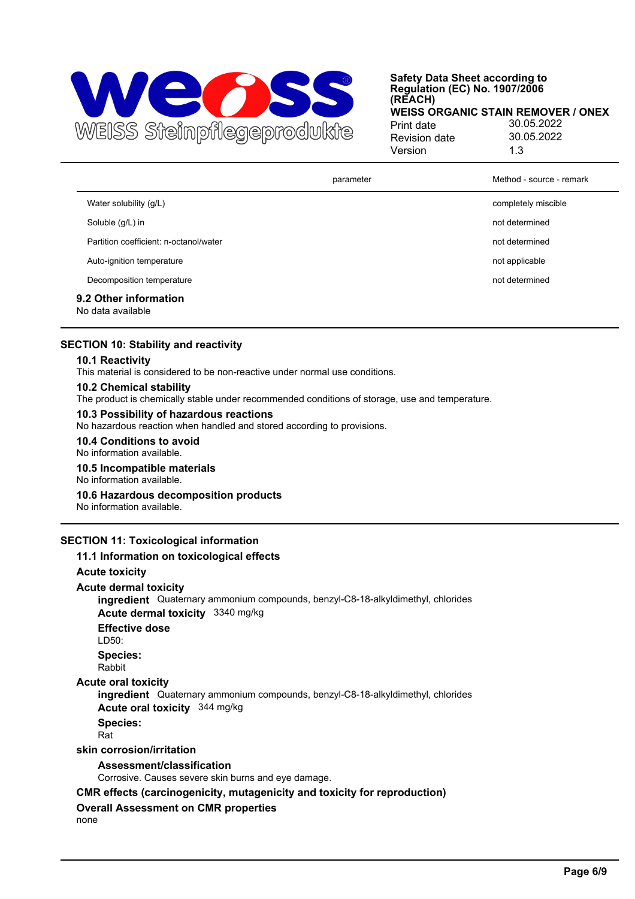

|                                        | parameter | Method - source - remark |
|----------------------------------------|-----------|--------------------------|
| Water solubility (g/L)                 |           | completely miscible      |
| Soluble (g/L) in                       |           | not determined           |
| Partition coefficient: n-octanol/water |           | not determined           |
| Auto-ignition temperature              |           | not applicable           |
| Decomposition temperature              |           | not determined           |
| 9.2 Other information                  |           |                          |

### No data available

## **SECTION 10: Stability and reactivity**

#### **10.1 Reactivity**

This material is considered to be non-reactive under normal use conditions.

### **10.2 Chemical stability**

The product is chemically stable under recommended conditions of storage, use and temperature.

## **10.3 Possibility of hazardous reactions**

No hazardous reaction when handled and stored according to provisions.

### **10.4 Conditions to avoid**

No information available.

## **10.5 Incompatible materials**

No information available.

### **10.6 Hazardous decomposition products**

No information available.

### **SECTION 11: Toxicological information**

## **11.1 Information on toxicological effects**

### **Acute toxicity**

## **Acute dermal toxicity**

**ingredient** Quaternary ammonium compounds, benzyl-C8-18-alkyldimethyl, chlorides **Acute dermal toxicity** 3340 mg/kg

- **Effective dose** LD50:
- **Species:**

Rabbit

## **Acute oral toxicity**

**ingredient** Quaternary ammonium compounds, benzyl-C8-18-alkyldimethyl, chlorides **Acute oral toxicity** 344 mg/kg

**Species:**

Rat

### **skin corrosion/irritation**

**Assessment/classification**

Corrosive. Causes severe skin burns and eye damage.

## **CMR effects (carcinogenicity, mutagenicity and toxicity for reproduction)**

### **Overall Assessment on CMR properties**

none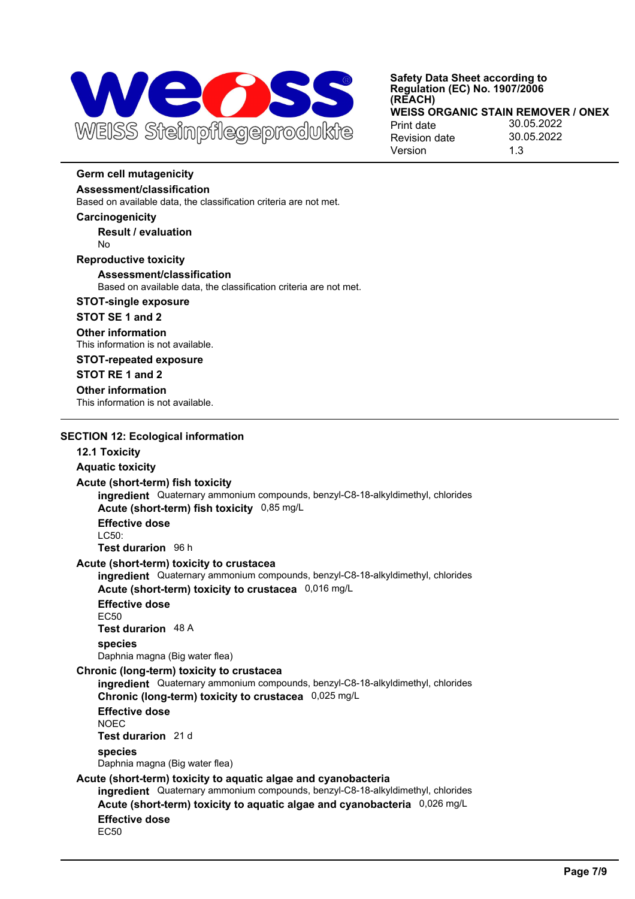

**Safety Data Sheet according to Regulation (EC) No. 1907/2006 (REACH)** 30.05.2022 30.05.2022 **WEISS ORGANIC STAIN REMOVER / ONEX** Print date Revision date Version 1.3

## **Germ cell mutagenicity**

## **Assessment/classification**

Based on available data, the classification criteria are not met.

# **Carcinogenicity**

**Result / evaluation** No

## **Reproductive toxicity**

## **Assessment/classification**

Based on available data, the classification criteria are not met.

# **STOT-single exposure**

# **STOT SE 1 and 2**

**Other information**

This information is not available.

# **STOT-repeated exposure**

# **STOT RE 1 and 2**

**Other information** This information is not available.

## **SECTION 12: Ecological information**

# **12.1 Toxicity**

## **Aquatic toxicity**

# **Acute (short-term) fish toxicity**

**ingredient** Quaternary ammonium compounds, benzyl-C8-18-alkyldimethyl, chlorides **Acute (short-term) fish toxicity** 0,85 mg/L

**Effective dose**  $LC50<sup>1</sup>$ 

**Test durarion** 96 h

# **Acute (short-term) toxicity to crustacea**

**ingredient** Quaternary ammonium compounds, benzyl-C8-18-alkyldimethyl, chlorides **Acute (short-term) toxicity to crustacea** 0,016 mg/L

**Effective dose** EC50

**Test durarion** 48 A

# **species**

Daphnia magna (Big water flea)

# **Chronic (long-term) toxicity to crustacea**

**ingredient** Quaternary ammonium compounds, benzyl-C8-18-alkyldimethyl, chlorides **Chronic (long-term) toxicity to crustacea** 0,025 mg/L **Effective dose** NOEC **Test durarion** 21 d **species**

Daphnia magna (Big water flea)

# **Acute (short-term) toxicity to aquatic algae and cyanobacteria**

**ingredient** Quaternary ammonium compounds, benzyl-C8-18-alkyldimethyl, chlorides **Acute (short-term) toxicity to aquatic algae and cyanobacteria** 0,026 mg/L **Effective dose** EC50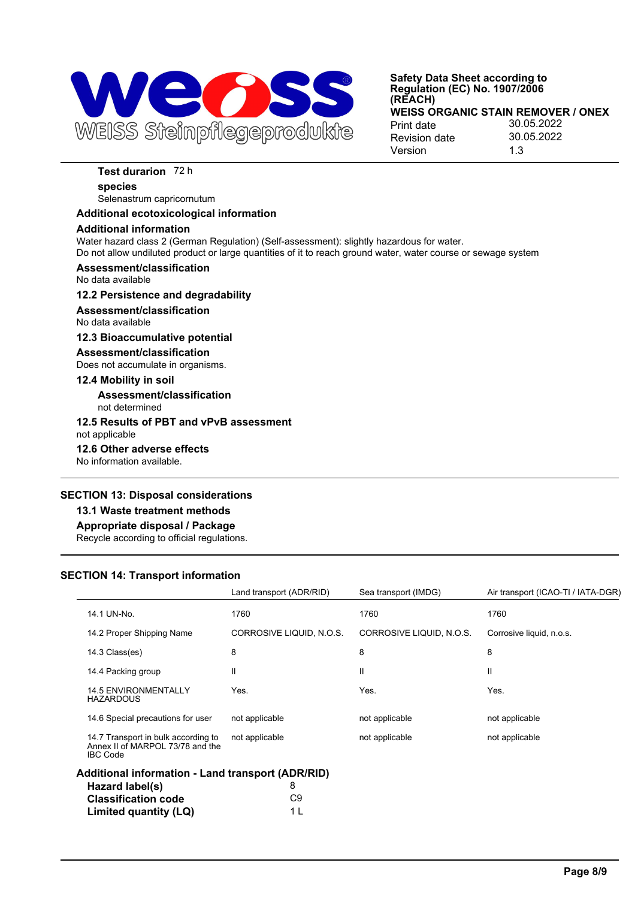

## **Test durarion** 72 h

# **species**

Selenastrum capricornutum

## **Additional ecotoxicological information**

## **Additional information**

Water hazard class 2 (German Regulation) (Self-assessment): slightly hazardous for water.

Do not allow undiluted product or large quantities of it to reach ground water, water course or sewage system

# **Assessment/classification**

No data available

# **12.2 Persistence and degradability**

### **Assessment/classification**

No data available

### **12.3 Bioaccumulative potential**

### **Assessment/classification**

Does not accumulate in organisms.

## **12.4 Mobility in soil**

**Assessment/classification** not determined

### **12.5 Results of PBT and vPvB assessment**

not applicable

# **12.6 Other adverse effects**

No information available.

## **SECTION 13: Disposal considerations**

# **13.1 Waste treatment methods**

## **Appropriate disposal / Package**

Recycle according to official regulations.

## **SECTION 14: Transport information**

|                                                                                            | Land transport (ADR/RID) | Sea transport (IMDG)     | Air transport (ICAO-TI / IATA-DGR) |
|--------------------------------------------------------------------------------------------|--------------------------|--------------------------|------------------------------------|
| 14.1 UN-No.                                                                                | 1760                     | 1760                     | 1760                               |
| 14.2 Proper Shipping Name                                                                  | CORROSIVE LIQUID, N.O.S. | CORROSIVE LIQUID, N.O.S. | Corrosive liquid, n.o.s.           |
| 14.3 Class(es)                                                                             | 8                        | 8                        | 8                                  |
| 14.4 Packing group                                                                         | Ш                        | Ш                        | Ш                                  |
| <b>14.5 ENVIRONMENTALLY</b><br><b>HAZARDOUS</b>                                            | Yes.                     | Yes.                     | Yes.                               |
| 14.6 Special precautions for user                                                          | not applicable           | not applicable           | not applicable                     |
| 14.7 Transport in bulk according to<br>Annex II of MARPOL 73/78 and the<br><b>IBC Code</b> | not applicable           | not applicable           | not applicable                     |
| Additional information - Land transport (ADR/RID)                                          |                          |                          |                                    |
| Hazard label(s)                                                                            | 8                        |                          |                                    |
| <b>Classification code</b>                                                                 | C <sub>9</sub>           |                          |                                    |
| Limited quantity (LQ)                                                                      | 1 L                      |                          |                                    |